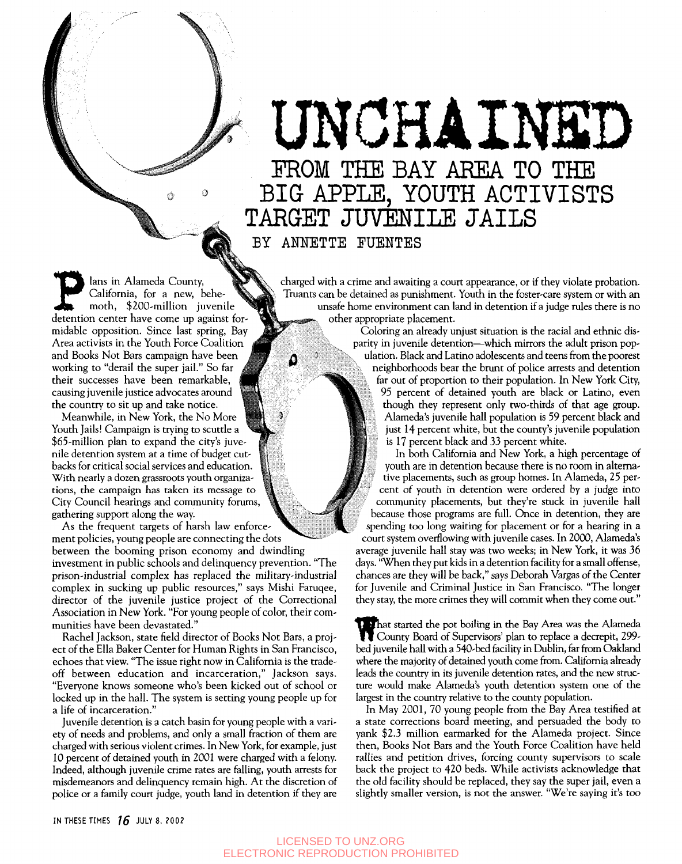## UNCHAINE FROM THE BAY AREA TO THE

BIG APPLE, YOUTH ACTIVISTS TARGET JUVENILE JAILS

BY ANNETTE FUENTES

۵

Jans in Alameda County,<br>California, for a new, behemoth, \$200-million juvenile<br>detention center have come up against forlans in Alameda County, California, for a new, behemoth, \$200-million juvenile midable opposition. Since last spring, Bay Area activists in the Youth Force Coalition and Books Not Bars campaign have been working to "derail the super jail." So far their successes have been remarkable, causing juvenile justice advocates around the country to sit up and take notice.

Meanwhile, in New York, the No More Youth Jails! Campaign is trying to scuttle a \$65-million plan to expand the city's juvenile detention system at a time of budget cutbacks for critical social services and education. With nearly a dozen grassroots youth organizations, the campaign has taken its message to City Council hearings and community forums, gathering support along the way.

As the frequent targets of harsh law enforce ment policies, young people are connecting the dots between the booming prison economy and dwindling investment in public schools and delinquency prevention. "The prison-industrial complex has replaced the military-industrial complex in sucking up public resources," says Mishi Faruqee, director of the juvenile justice project of the Correctional Association in New York. "For young people of color, their communities have been devastated."

Rachel Jackson, state field director of Books Not Bars, a project of the Ella Baker Center for Human Rights in San Francisco, echoes that view. "The issue right now in California is the tradeoff between education and incarceration," Jackson says. "Everyone knows someone who's been kicked out of school or locked up in the hall. The system is setting young people up for a life of incarceration."

Juvenile detention is a catch basin for young people with a variety of needs and problems, and only a small fraction of them are charged with serious violent crimes. In New York, for example, just 10 percent of detained youth in 2001 were charged with a felony. Indeed, although juvenile crime rates are falling, youth arrests for misdemeanors and delinquency remain high. At the discretion of police or a family court judge, youth land in detention if they are

charged with a crime and awaiting a court appearance, or if they violate probation. Truants can be detained as punishment. Youth in the foster-care system or with an unsafe home environment can land in detention if a judge rules there is no other appropriate placement.

Coloring an already unjust situation is the racial and ethnic disparity in juvenile detention—which mirrors the adult prison population. Black and Latino adolescents and teens from the poorest neighborhoods bear the brunt of police arrests and detention far out of proportion to their population. In New York City, 95 percent of detained youth are black or Latino, even though they represent only two-thirds of that age group. Alameda's juvenile hall population is 59 percent black and just 14 percent white, but the county's juvenile population is 17 percent black and 33 percent white.

In both California and New York, a high percentage of vouth are in detention because there is no room in alterna*t* tive placements, such as group homes. In Alameda, 25 percent of youth in detention were ordered by a judge into community placements, but they're stuck in juvenile hall because those programs are full. Once in detention, they are spending too long waiting for placement or for a hearing in a court system overflowing with juvenile cases. In 2000, Alameda's average juvenile hall stay was two weeks; in New York, it was 36 days. "When they put kids in a detention facility for a small offense, chances are they will be back," says Deborah Vargas of the Center for Juvenile and Criminal Justice in San Francisco. "The longer they stay, the more crimes they will commit when they come out."

That started the pot boiling in the Bay Area was the Alameda County Board of Supervisors' plan to replace a decrepit, 299 bed juvenile hall with a 540-bed facility in Dublin, far from Oakland where the majority of detained youth come from. California already leads the country in its juvenile detention rates, and the new structure would make Alameda's youth detention system one of the largest in the country relative to the county population.

In May 2001, 70 young people from the Bay Area testified at a state corrections board meeting, and persuaded the body to yank \$2.3 million earmarked for the Alameda project. Since then, Books Not Bars and the Youth Force Coalition have held rallies and petition drives, forcing county supervisors to scale back the project to 420 beds. While activists acknowledge that the old facility should be replaced, they say the super jail, even a slightly smaller version, is not the answer. "We're saying it's too

IN THESE TIMES  $16$  JULY 8. 2002

### LICENSED TO UNZ.ORG ELECTRONIC REPRODUCTION PROHIBITED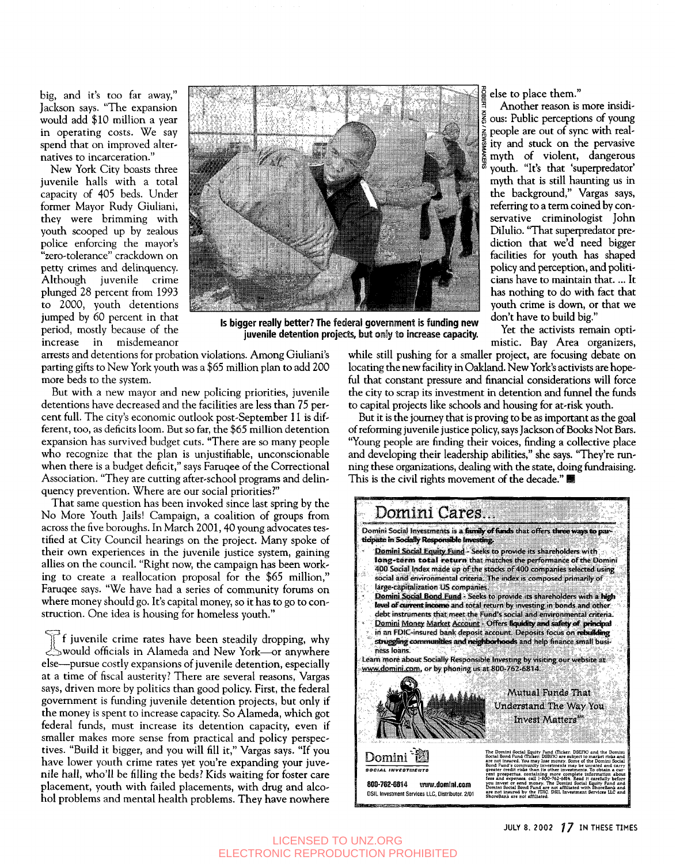big, and it's too far away," Jackson says. "The expansion would add \$10 million a year in operating costs. We say spend that on improved alternatives to incarceration."

New York City boasts three juvenile halls with a total capacity of 405 beds. Under former Mayor Rudy Giuliani, they were brimming with youth scooped up by zealous police enforcing the mayor's "zero-tolerance" crackdown on petty crimes and delinquency. Although juvenile crime plunged 28 percent from 1993 to 2000, youth detentions jumped by 60 percent in that period, mostly because of the increase in misdemeanor



**Is bigger really better? The federal government is funding new juvenile detention projects, but only to increase capacity.** 

arrests and detentions for probation violations. Among Giuliani's parting gifts to New York youth was a \$65 million plan to add 200 more beds to the system.

But with a new mayor and new policing priorities, juvenile detentions have decreased and the facilities are less than 75 percent full. The city's economic outlook post-September 11 is different, too, as deficits loom. But so far, the \$65 million detention expansion has survived budget cuts. "There are so many people who recognize that the plan is unjustifiable, unconscionable when there is a budget deficit," says Faruqee of the Correctional Association. "They are cutting after-school programs and delinquency prevention. Where are our social priorities?"

That same question has been invoked since last spring by the No More Youth Jails! Campaign, a coalition of groups from across the five boroughs. In March 2001, 40 young advocates testified at City Council hearings on the project. Many spoke of their own experiences in the juvenile justice system, gaining allies on the council. "Right now, the campaign has been working to create a reallocation proposal for the \$65 million," Faruqee says. "We have had a series of community forums on where money should go. It's capital money, so it has to go to construction. One idea is housing for homeless youth."

juvenile crime rates have been steadily dropping, why would officials in Alameda and New York—or anywhere else—pursue costly expansions of juvenile detention, especially at a time of fiscal austerity? There are several reasons, Vargas says, driven more by politics than good policy. First, the federal government is funding juvenile detention projects, but only if the money is spent to increase capacity. So Alameda, which got federal funds, must increase its detention capacity, even if smaller makes more sense from practical and policy perspectives. "Build it bigger, and you will fill it," Vargas says. "If you have lower youth crime rates yet you're expanding your juvenile hall, who'll be filling the beds? Kids waiting for foster care placement, youth with failed placements, with drug and alcohol problems and mental health problems. They have nowhere else to place them."

Another reason is more insidi- $\frac{2}{5}$  ous: Public perceptions of young people are out of sync with reality and stuck on the pervasive myth of violent, dangerous youth. "It's that 'superpredator' myth that is still haunting us in the background," Vargas says, referring to a term coined by conservative criminologist John Dilulio. "That superpredator prediction that we'd need bigger facilities for youth has shaped policy and perception, and politicians have to maintain that.... It has nothing to do with fact that youth crime is down, or that we don't have to build big."

Yet the activists remain optimistic. Bay Area organizers,

while still pushing for a smaller project, are focusing debate on locating the new facility in Oakland. New York's activists are hopeful that constant pressure and financial considerations will force the city to scrap its investment in detention and funnel the funds to capital projects like schools and housing for at-risk youth.

But it is the journey that is proving to be as important as the goal of reforming juvenile justice policy, says Jackson of Books Not Bars. "Young people are finding their voices, finding a collective place and developing their leadership abilities," she says. "They're running these organizations, dealing with the state, doing fundraising. This is the civil rights movement of the decade." ■



#### LICENSED TO UNZ.ORG ELECTRONIC REPRODUCTION PROHIBITED